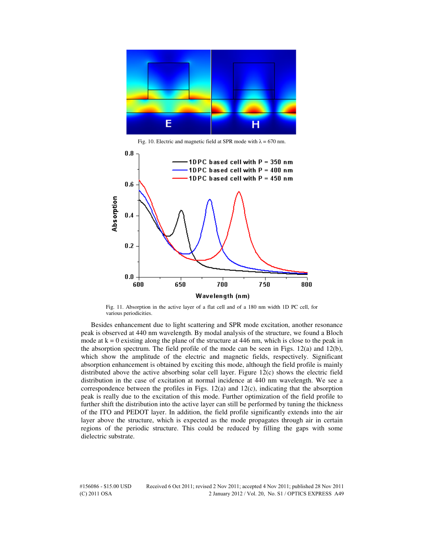

Fig. 10. Electric and magnetic field at SPR mode with  $\lambda = 670$  nm.



Fig. 11. Absorption in the active layer of a flat cell and of a 180 nm width 1D PC cell, for various periodicities.

Besides enhancement due to light scattering and SPR mode excitation, another resonance peak is observed at 440 nm wavelength. By modal analysis of the structure, we found a Bloch mode at  $k = 0$  existing along the plane of the structure at 446 nm, which is close to the peak in the absorption spectrum. The field profile of the mode can be seen in Figs. 12(a) and 12(b), which show the amplitude of the electric and magnetic fields, respectively. Significant absorption enhancement is obtained by exciting this mode, although the field profile is mainly distributed above the active absorbing solar cell layer. Figure 12(c) shows the electric field distribution in the case of excitation at normal incidence at 440 nm wavelength. We see a correspondence between the profiles in Figs. 12(a) and 12(c), indicating that the absorption peak is really due to the excitation of this mode. Further optimization of the field profile to further shift the distribution into the active layer can still be performed by tuning the thickness of the ITO and PEDOT layer. In addition, the field profile significantly extends into the air layer above the structure, which is expected as the mode propagates through air in certain regions of the periodic structure. This could be reduced by filling the gaps with some dielectric substrate.

#156086 - \$15.00 USD Received 6 Oct 2011; revised 2 Nov 2011; accepted 4 Nov 2011; published 28 Nov 2011 (C) 2011 OSA 2 January 2012 / Vol. 20, No. S1 / OPTICS EXPRESS A49